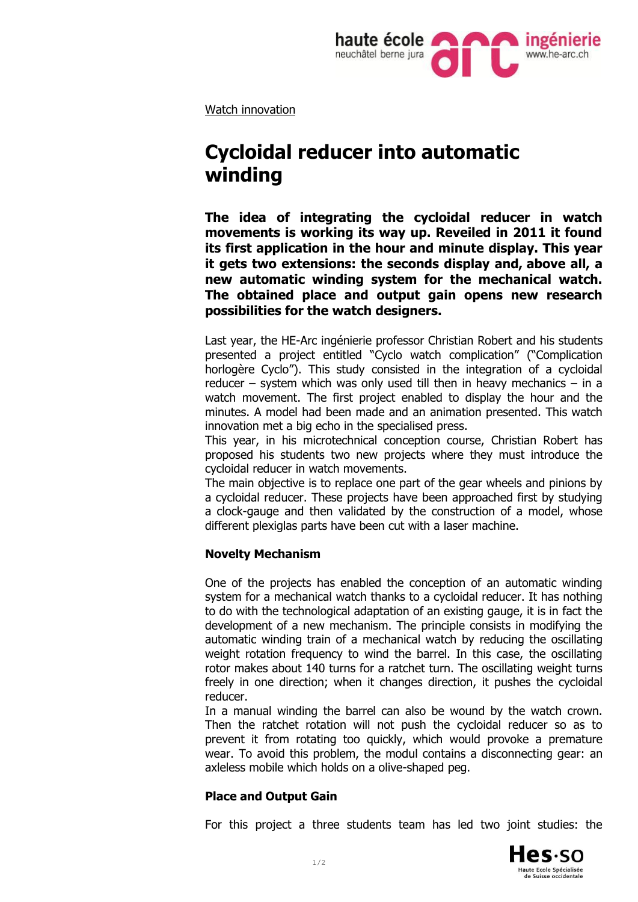

Watch innovation

# **Cycloidal reducer into automatic winding**

**The idea of integrating the cycloidal reducer in watch movements is working its way up. Reveiled in 2011 it found its first application in the hour and minute display. This year it gets two extensions: the seconds display and, above all, a new automatic winding system for the mechanical watch. The obtained place and output gain opens new research possibilities for the watch designers.**

Last year, the HE-Arc ingénierie professor Christian Robert and his students presented a project entitled "Cyclo watch complication" ("Complication horlogère Cyclo"). This study consisted in the integration of a cycloidal reducer – system which was only used till then in heavy mechanics – in a watch movement. The first project enabled to display the hour and the minutes. A model had been made and an animation presented. This watch innovation met a big echo in the specialised press.

This year, in his microtechnical conception course, Christian Robert has proposed his students two new projects where they must introduce the cycloidal reducer in watch movements.

The main objective is to replace one part of the gear wheels and pinions by a cycloidal reducer. These projects have been approached first by studying a clock-gauge and then validated by the construction of a model, whose different plexiglas parts have been cut with a laser machine.

## **Novelty Mechanism**

One of the projects has enabled the conception of an automatic winding system for a mechanical watch thanks to a cycloidal reducer. It has nothing to do with the technological adaptation of an existing gauge, it is in fact the development of a new mechanism. The principle consists in modifying the automatic winding train of a mechanical watch by reducing the oscillating weight rotation frequency to wind the barrel. In this case, the oscillating rotor makes about 140 turns for a ratchet turn. The oscillating weight turns freely in one direction; when it changes direction, it pushes the cycloidal reducer.

In a manual winding the barrel can also be wound by the watch crown. Then the ratchet rotation will not push the cycloidal reducer so as to prevent it from rotating too quickly, which would provoke a premature wear. To avoid this problem, the modul contains a disconnecting gear: an axleless mobile which holds on a olive-shaped peg.

#### **Place and Output Gain**

For this project a three students team has led two joint studies: the